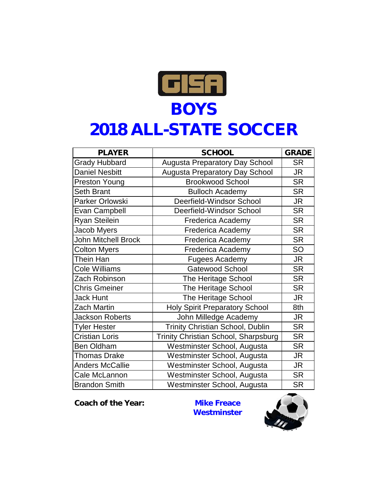

## **2018 ALL-STATE SOCCER**

| <b>PLAYER</b>              | <b>SCHOOL</b>                           | <b>GRADE</b> |
|----------------------------|-----------------------------------------|--------------|
| <b>Grady Hubbard</b>       | <b>Augusta Preparatory Day School</b>   | <b>SR</b>    |
| <b>Daniel Nesbitt</b>      | <b>Augusta Preparatory Day School</b>   | <b>JR</b>    |
| Preston Young              | <b>Brookwood School</b>                 | <b>SR</b>    |
| <b>Seth Brant</b>          | <b>Bulloch Academy</b>                  | <b>SR</b>    |
| Parker Orlowski            | Deerfield-Windsor School                | <b>JR</b>    |
| Evan Campbell              | Deerfield-Windsor School                | <b>SR</b>    |
| <b>Ryan Steilein</b>       | <b>Frederica Academy</b>                | <b>SR</b>    |
| Jacob Myers                | <b>Frederica Academy</b>                | <b>SR</b>    |
| <b>John Mitchell Brock</b> | Frederica Academy                       | <b>SR</b>    |
| <b>Colton Myers</b>        | <b>Frederica Academy</b>                | SO           |
| Thein Han                  | <b>Fugees Academy</b>                   | <b>JR</b>    |
| <b>Cole Williams</b>       | <b>Gatewood School</b>                  | <b>SR</b>    |
| Zach Robinson              | The Heritage School                     | <b>SR</b>    |
| <b>Chris Gmeiner</b>       | The Heritage School                     | <b>SR</b>    |
| <b>Jack Hunt</b>           | The Heritage School                     | <b>JR</b>    |
| <b>Zach Martin</b>         | <b>Holy Spirit Preparatory School</b>   | 8th          |
| <b>Jackson Roberts</b>     | John Milledge Academy                   | JR.          |
| <b>Tyler Hester</b>        | <b>Trinity Christian School, Dublin</b> | <b>SR</b>    |
| <b>Cristian Loris</b>      | Trinity Christian School, Sharpsburg    | <b>SR</b>    |
| <b>Ben Oldham</b>          | Westminster School, Augusta             | <b>SR</b>    |
| <b>Thomas Drake</b>        | Westminster School, Augusta             | <b>JR</b>    |
| <b>Anders McCallie</b>     | Westminster School, Augusta             | <b>JR</b>    |
| Cale McLannon              | Westminster School, Augusta             | <b>SR</b>    |
| <b>Brandon Smith</b>       | Westminster School, Augusta             | <b>SR</b>    |

**Coach of the Year: Mike Freace**

**Westminster**